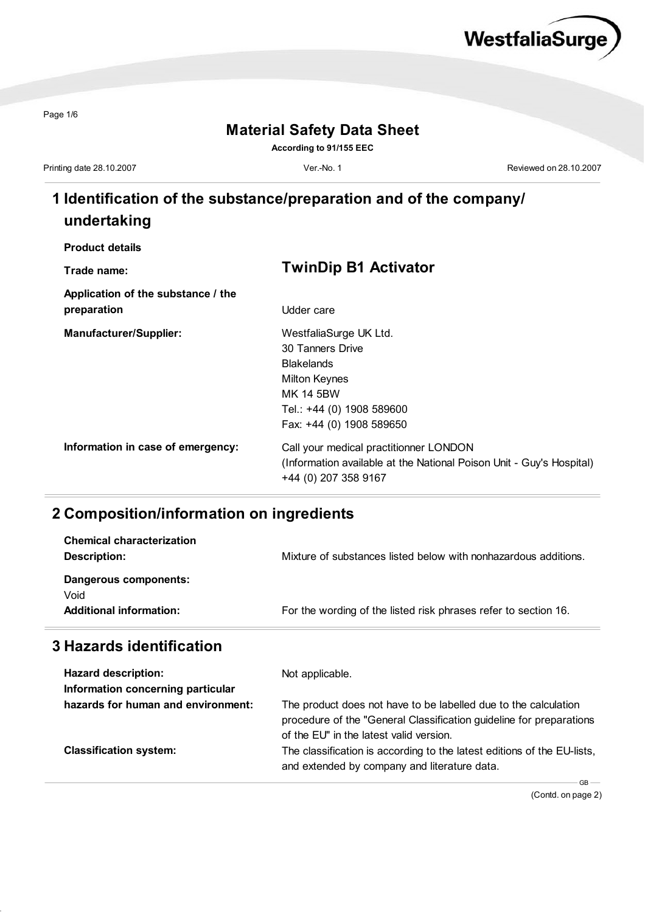

Page 1/6

#### **Material Safety Data Sheet**

**According to 91/155 EEC**

Printing date 28.10.2007 **Ver.-No. 1** Ver.-No. 1 **Ver.-No. 1** Reviewed on 28.10.2007

# **1 Identification of the substance/preparation and of the company/ undertaking**

| <b>Product details</b> |  |
|------------------------|--|
|------------------------|--|

| Trade name:                        | <b>TwinDip B1 Activator</b>                                          |
|------------------------------------|----------------------------------------------------------------------|
| Application of the substance / the |                                                                      |
| preparation                        | Udder care                                                           |
| <b>Manufacturer/Supplier:</b>      | WestfaliaSurge UK Ltd.                                               |
|                                    | 30 Tanners Drive                                                     |
|                                    | <b>Blakelands</b>                                                    |
|                                    | <b>Milton Keynes</b>                                                 |
|                                    | <b>MK 14 5BW</b>                                                     |
|                                    | Tel.: +44 (0) 1908 589600                                            |
|                                    | Fax: +44 (0) 1908 589650                                             |
| Information in case of emergency:  | Call your medical practitionner LONDON                               |
|                                    | (Information available at the National Poison Unit - Guy's Hospital) |
|                                    | +44 (0) 207 358 9167                                                 |

#### **2 Composition/information on ingredients**

| Void<br><b>Additional information:</b> | For the wording of the listed risk phrases refer to section 16. |
|----------------------------------------|-----------------------------------------------------------------|
| Description:<br>Dangerous components:  | Mixture of substances listed below with nonhazardous additions. |
| <b>Chemical characterization</b>       |                                                                 |

### **3 Hazards identification**

| <b>Hazard description:</b>         | Not applicable.                                                                                                                                                                   |
|------------------------------------|-----------------------------------------------------------------------------------------------------------------------------------------------------------------------------------|
| Information concerning particular  |                                                                                                                                                                                   |
| hazards for human and environment: | The product does not have to be labelled due to the calculation<br>procedure of the "General Classification guideline for preparations<br>of the EU" in the latest valid version. |
| <b>Classification system:</b>      | The classification is according to the latest editions of the EU-lists,<br>and extended by company and literature data.<br>GB.                                                    |

(Contd. on page 2)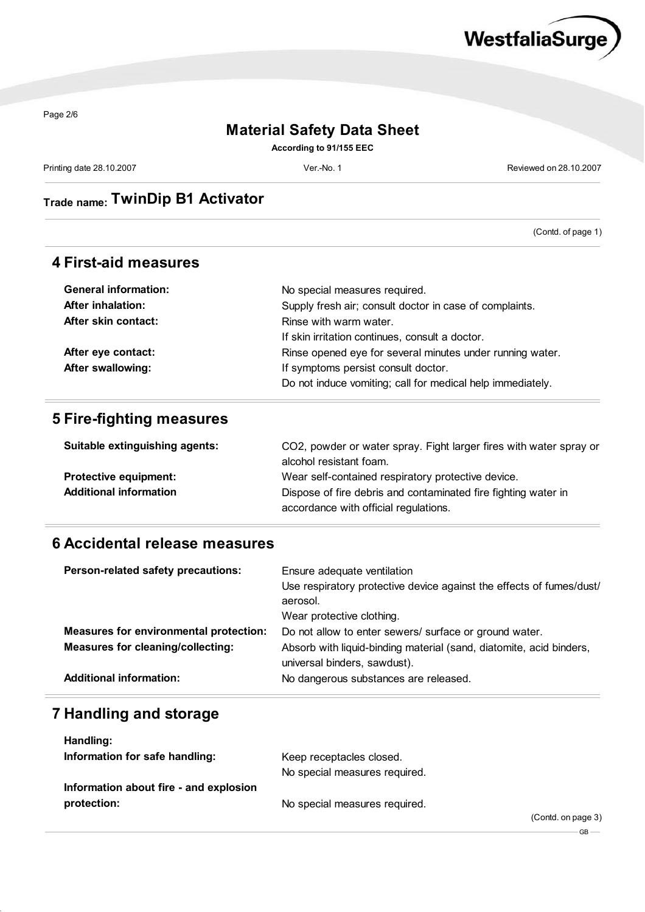

Page 2/6

### **Material Safety Data Sheet**

**According to 91/155 EEC**

Printing date 28.10.2007 **Ver.-No. 1** Ver.-No. 1 **Ver.-No. 1** Reviewed on 28.10.2007

# **Trade name: TwinDip B1 Activator**

(Contd. of page 1)

#### **4 First-aid measures**

| <b>General information:</b> | No special measures required.                              |
|-----------------------------|------------------------------------------------------------|
| <b>After inhalation:</b>    | Supply fresh air; consult doctor in case of complaints.    |
| After skin contact:         | Rinse with warm water.                                     |
|                             | If skin irritation continues, consult a doctor.            |
| After eye contact:          | Rinse opened eye for several minutes under running water.  |
| <b>After swallowing:</b>    | If symptoms persist consult doctor.                        |
|                             | Do not induce vomiting; call for medical help immediately. |

#### **5 Fire-fighting measures**

| Suitable extinguishing agents: | CO2, powder or water spray. Fight larger fires with water spray or                                      |
|--------------------------------|---------------------------------------------------------------------------------------------------------|
|                                | alcohol resistant foam.                                                                                 |
| <b>Protective equipment:</b>   | Wear self-contained respiratory protective device.                                                      |
| <b>Additional information</b>  | Dispose of fire debris and contaminated fire fighting water in<br>accordance with official regulations. |

#### **6 Accidental release measures**

| Person-related safety precautions:            | Ensure adequate ventilation                                          |
|-----------------------------------------------|----------------------------------------------------------------------|
|                                               | Use respiratory protective device against the effects of fumes/dust/ |
|                                               | aerosol.                                                             |
|                                               | Wear protective clothing.                                            |
| <b>Measures for environmental protection:</b> | Do not allow to enter sewers/ surface or ground water.               |
| <b>Measures for cleaning/collecting:</b>      | Absorb with liquid-binding material (sand, diatomite, acid binders,  |
|                                               | universal binders, sawdust).                                         |
| <b>Additional information:</b>                | No dangerous substances are released.                                |

#### **7 Handling and storage**

| Handling:                              |                               |                    |
|----------------------------------------|-------------------------------|--------------------|
| Information for safe handling:         | Keep receptacles closed.      |                    |
|                                        | No special measures required. |                    |
| Information about fire - and explosion |                               |                    |
| protection:                            | No special measures required. |                    |
|                                        |                               | (Contd. on page 3) |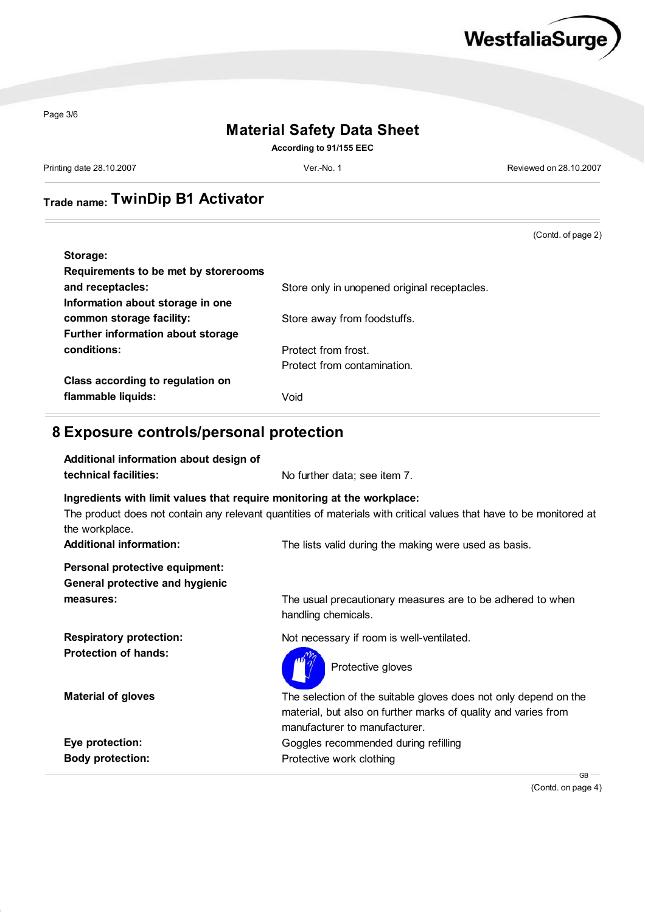

Page 3/6

### **Material Safety Data Sheet**

**According to 91/155 EEC**

Printing date 28.10.2007 Ver.-No. 1 Reviewed on 28.10.2007

# **Trade name: TwinDip B1 Activator**

(Contd. of page 2) **Storage: Requirements to be met by storerooms** and receptacles: **and receptacles:** Store only in unopened original receptacles. **Information about storage in one common storage facility:** Store away from foodstuffs. **Further information about storage conditions:** Protect from frost. Protect from contamination. **Class according to regulation on flammable liquids:** Void

#### **8 Exposure controls/personal protection**

| Additional information about design of<br>technical facilities:                           | No further data; see item 7.                                                                                                                                        |
|-------------------------------------------------------------------------------------------|---------------------------------------------------------------------------------------------------------------------------------------------------------------------|
| Ingredients with limit values that require monitoring at the workplace:<br>the workplace. | The product does not contain any relevant quantities of materials with critical values that have to be monitored at                                                 |
| <b>Additional information:</b>                                                            | The lists valid during the making were used as basis.                                                                                                               |
| Personal protective equipment:<br><b>General protective and hygienic</b><br>measures:     | The usual precautionary measures are to be adhered to when<br>handling chemicals.                                                                                   |
| <b>Respiratory protection:</b><br><b>Protection of hands:</b>                             | Not necessary if room is well-ventilated.<br>Protective gloves                                                                                                      |
| <b>Material of gloves</b>                                                                 | The selection of the suitable gloves does not only depend on the<br>material, but also on further marks of quality and varies from<br>manufacturer to manufacturer. |
| Eye protection:                                                                           | Goggles recommended during refilling                                                                                                                                |
| <b>Body protection:</b>                                                                   | Protective work clothing<br>$GB -$                                                                                                                                  |

(Contd. on page 4)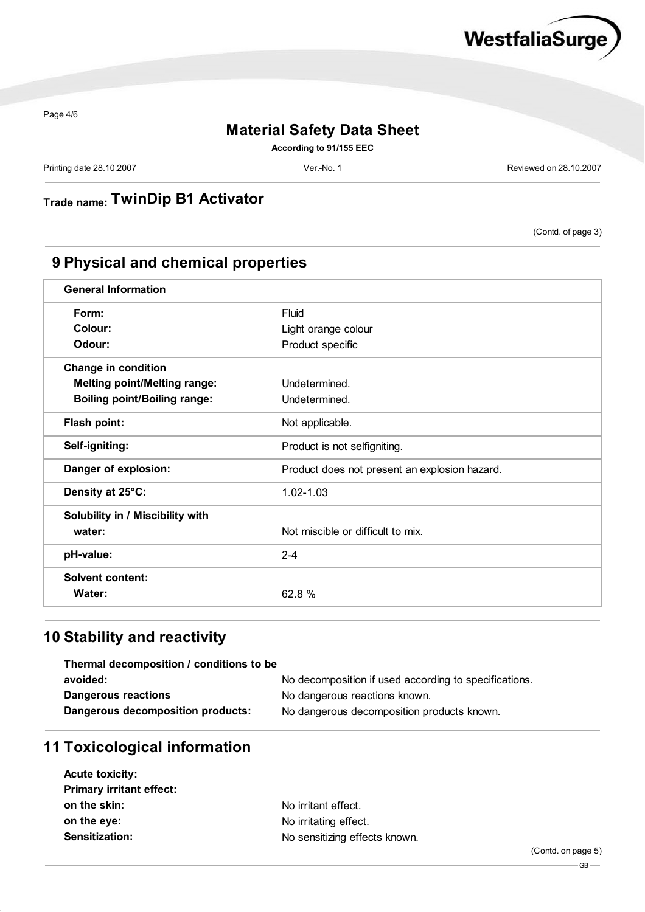

Page 4/6

## **Material Safety Data Sheet**

**According to 91/155 EEC**

Printing date 28.10.2007 **Ver.-No. 1** Ver.-No. 1 **Ver.-No. 1** Reviewed on 28.10.2007

**Trade name: TwinDip B1 Activator**

(Contd. of page 3)

## **9 Physical and chemical properties**

| <b>General Information</b>          |                                               |
|-------------------------------------|-----------------------------------------------|
| Form:                               | Fluid                                         |
| Colour:                             | Light orange colour                           |
| Odour:                              | Product specific                              |
| <b>Change in condition</b>          |                                               |
| <b>Melting point/Melting range:</b> | Undetermined.                                 |
| <b>Boiling point/Boiling range:</b> | Undetermined.                                 |
| Flash point:                        | Not applicable.                               |
| Self-igniting:                      | Product is not selfigniting.                  |
| Danger of explosion:                | Product does not present an explosion hazard. |
| Density at 25°C:                    | $1.02 - 1.03$                                 |
| Solubility in / Miscibility with    |                                               |
| water:                              | Not miscible or difficult to mix.             |
| pH-value:                           | $2 - 4$                                       |
| <b>Solvent content:</b>             |                                               |
| Water:                              | 62.8 %                                        |

## **10 Stability and reactivity**

| Thermal decomposition / conditions to be |                                                       |
|------------------------------------------|-------------------------------------------------------|
| avoided:                                 | No decomposition if used according to specifications. |
| <b>Dangerous reactions</b>               | No dangerous reactions known.                         |
| Dangerous decomposition products:        | No dangerous decomposition products known.            |

## **11 Toxicological information**

| <b>Acute toxicity:</b>          |                               |  |
|---------------------------------|-------------------------------|--|
| <b>Primary irritant effect:</b> |                               |  |
| on the skin:                    | No irritant effect.           |  |
| on the eye:                     | No irritating effect.         |  |
| <b>Sensitization:</b>           | No sensitizing effects known. |  |
|                                 |                               |  |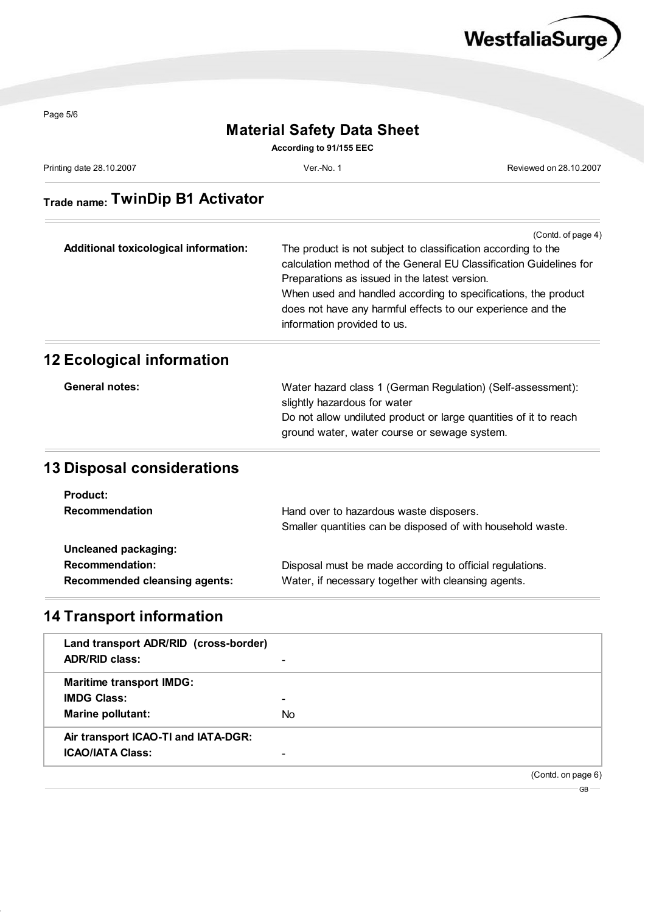

Page 5/6

 $\frac{1}{2}$ 

## **Material Safety Data Sheet**

**According to 91/155 EEC**

Printing date 28.10.2007 **Ver.-No. 1** Ver.-No. 1 **Ver.-No. 1** Reviewed on 28.10.2007

# **Trade name: TwinDip B1 Activator**

| (Contd. of page 4)<br>The product is not subject to classification according to the<br>calculation method of the General EU Classification Guidelines for<br>Preparations as issued in the latest version.<br>When used and handled according to specifications, the product<br>does not have any harmful effects to our experience and the |
|---------------------------------------------------------------------------------------------------------------------------------------------------------------------------------------------------------------------------------------------------------------------------------------------------------------------------------------------|
| information provided to us.                                                                                                                                                                                                                                                                                                                 |
|                                                                                                                                                                                                                                                                                                                                             |

| <b>General notes:</b> | Water hazard class 1 (German Regulation) (Self-assessment):       |
|-----------------------|-------------------------------------------------------------------|
|                       | slightly hazardous for water                                      |
|                       | Do not allow undiluted product or large quantities of it to reach |
|                       | ground water, water course or sewage system.                      |

## **13 Disposal considerations**

| <b>Product:</b>                      |                                                             |
|--------------------------------------|-------------------------------------------------------------|
| <b>Recommendation</b>                | Hand over to hazardous waste disposers.                     |
|                                      | Smaller quantities can be disposed of with household waste. |
| Uncleaned packaging:                 |                                                             |
| <b>Recommendation:</b>               | Disposal must be made according to official regulations.    |
| <b>Recommended cleansing agents:</b> | Water, if necessary together with cleansing agents.         |

# **14 Transport information**

| Land transport ADR/RID (cross-border)<br><b>ADR/RID class:</b> |                |                    |  |
|----------------------------------------------------------------|----------------|--------------------|--|
| <b>Maritime transport IMDG:</b>                                |                |                    |  |
| <b>IMDG Class:</b>                                             |                |                    |  |
| Marine pollutant:                                              | N <sub>o</sub> |                    |  |
| Air transport ICAO-TI and IATA-DGR:                            |                |                    |  |
| <b>ICAO/IATA Class:</b>                                        |                |                    |  |
|                                                                |                | (Contd. on page 6) |  |

 $GB$